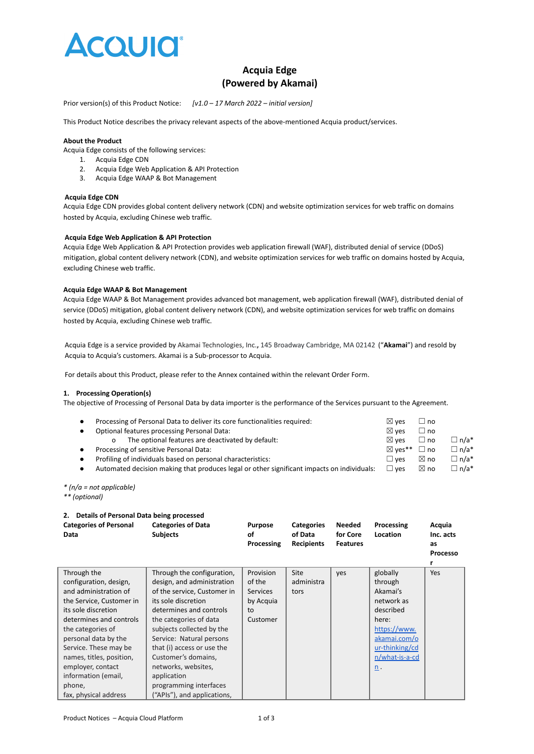

# **Acquia Edge (Powered by Akamai)**

Prior version(s) of this Product Notice: *[v1.0 – 17 March 2022 – initial version]*

This Product Notice describes the privacy relevant aspects of the above-mentioned Acquia product/services.

# **About the Product**

Acquia Edge consists of the following services:

- 1. Acquia Edge CDN
- 2. Acquia Edge Web Application & API Protection
- 3. Acquia Edge WAAP & Bot Management

#### **Acquia Edge CDN**

Acquia Edge CDN provides global content delivery network (CDN) and website optimization services for web traffic on domains hosted by Acquia, excluding Chinese web traffic.

#### **Acquia Edge Web Application & API Protection**

Acquia Edge Web Application & API Protection provides web application firewall (WAF), distributed denial of service (DDoS) mitigation, global content delivery network (CDN), and website optimization services for web traffic on domains hosted by Acquia, excluding Chinese web traffic.

# **Acquia Edge WAAP & Bot Management**

Acquia Edge WAAP & Bot Management provides advanced bot management, web application firewall (WAF), distributed denial of service (DDoS) mitigation, global content delivery network (CDN), and website optimization services for web traffic on domains hosted by Acquia, excluding Chinese web traffic.

Acquia Edge is a service provided by Akamai Technologies, Inc.**,** 145 Broadway Cambridge, MA 02142 ("**Akamai**") and resold by Acquia to Acquia's customers. Akamai is a Sub-processor to Acquia.

For details about this Product, please refer to the Annex contained within the relevant Order Form.

#### **1. Processing Operation(s)**

The objective of Processing of Personal Data by data importer is the performance of the Services pursuant to the Agreement.

| Processing of Personal Data to deliver its core functionalities required:                  | $\boxtimes$ ves   | $\sqcup$ no    |             |
|--------------------------------------------------------------------------------------------|-------------------|----------------|-------------|
| Optional features processing Personal Data:                                                | $\boxtimes$ ves   | $\Box$ no      |             |
| The optional features are deactivated by default:                                          | $\boxtimes$ ves   | $\Box$ no      | $\Box$ n/a* |
| Processing of sensitive Personal Data:                                                     | $\boxtimes$ ves** | $\Box$ no      | $\Box$ n/a* |
| Profiling of individuals based on personal characteristics:                                | $\sqcup$ ves      | $\boxtimes$ no | $\Box$ n/a* |
| Automated decision making that produces legal or other significant impacts on individuals: | $\Box$ ves        | $\boxtimes$ no | $\Box$ n/a* |

*\* (n/a = not applicable)*

*\*\* (optional)*

| Details of Personal Data being processed |                                              |                                    |                                                   |                                              |                        |                                                   |
|------------------------------------------|----------------------------------------------|------------------------------------|---------------------------------------------------|----------------------------------------------|------------------------|---------------------------------------------------|
| <b>Categories of Personal</b><br>Data    | <b>Categories of Data</b><br><b>Subjects</b> | <b>Purpose</b><br>οf<br>Processing | <b>Categories</b><br>of Data<br><b>Recipients</b> | <b>Needed</b><br>for Core<br><b>Features</b> | Processing<br>Location | Acquia<br>Inc. acts<br>as<br><b>Processo</b><br>r |
| Through the                              | Through the configuration,                   | Provision                          | Site                                              | yes                                          | globally               | Yes                                               |
| configuration, design,                   | design, and administration                   | of the                             | administra                                        |                                              | through                |                                                   |
| and administration of                    | of the service, Customer in                  | <b>Services</b>                    | tors                                              |                                              | Akamai's               |                                                   |
| the Service, Customer in                 | its sole discretion                          | by Acquia                          |                                                   |                                              | network as             |                                                   |
| its sole discretion                      | determines and controls                      | to                                 |                                                   |                                              | described              |                                                   |
| determines and controls                  | the categories of data                       | Customer                           |                                                   |                                              | here:                  |                                                   |
| the categories of                        | subjects collected by the                    |                                    |                                                   |                                              | https://www.           |                                                   |
| personal data by the                     | Service: Natural persons                     |                                    |                                                   |                                              | akamai.com/o           |                                                   |
| Service. These may be                    | that (i) access or use the                   |                                    |                                                   |                                              | ur-thinking/cd         |                                                   |
| names, titles, position,                 | Customer's domains,                          |                                    |                                                   |                                              | n/what-is-a-cd         |                                                   |
| employer, contact                        | networks, websites,                          |                                    |                                                   |                                              | $n$ .                  |                                                   |
| information (email,                      | application                                  |                                    |                                                   |                                              |                        |                                                   |
| phone,                                   | programming interfaces                       |                                    |                                                   |                                              |                        |                                                   |
| fax, physical address                    | ("APIs"), and applications,                  |                                    |                                                   |                                              |                        |                                                   |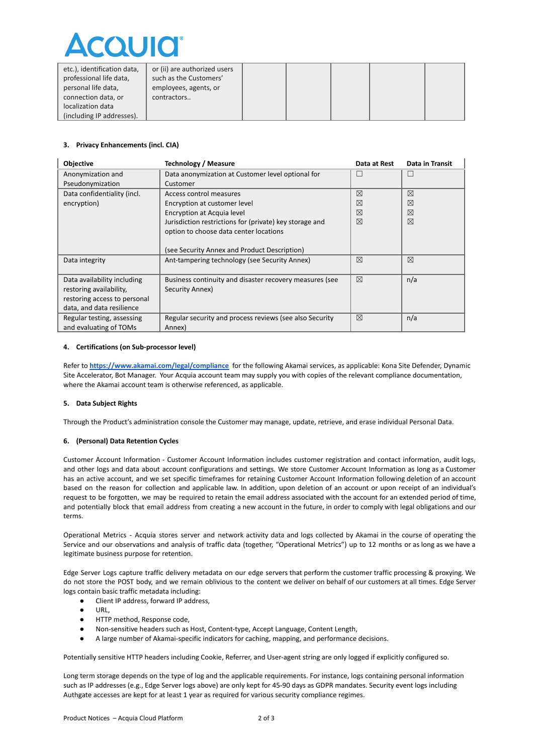

| etc.), identification data,<br>professional life data, | or (ii) are authorized users<br>such as the Customers' |  |  |  |
|--------------------------------------------------------|--------------------------------------------------------|--|--|--|
| personal life data,                                    | employees, agents, or                                  |  |  |  |
| connection data, or                                    | contractors                                            |  |  |  |
| localization data                                      |                                                        |  |  |  |
| (including IP addresses).                              |                                                        |  |  |  |

# **3. Privacy Enhancements (incl. CIA)**

| <b>Objective</b>             | Technology / Measure                                    | Data at Rest | Data in Transit |
|------------------------------|---------------------------------------------------------|--------------|-----------------|
| Anonymization and            | Data anonymization at Customer level optional for       | H            |                 |
| Pseudonymization             | Customer                                                |              |                 |
| Data confidentiality (incl.  | Access control measures                                 | ⊠            | ⊠               |
| encryption)                  | Encryption at customer level                            | ⊠            | ⊠               |
|                              | Encryption at Acquia level                              | ⊠            | $\boxtimes$     |
|                              | Jurisdiction restrictions for (private) key storage and | ⊠            | ⊠               |
|                              | option to choose data center locations                  |              |                 |
|                              |                                                         |              |                 |
|                              | (see Security Annex and Product Description)            |              |                 |
| Data integrity               | Ant-tampering technology (see Security Annex)           | ⊠            | ⊠               |
|                              |                                                         |              |                 |
| Data availability including  | Business continuity and disaster recovery measures (see | ⊠            | n/a             |
| restoring availability,      | Security Annex)                                         |              |                 |
| restoring access to personal |                                                         |              |                 |
| data, and data resilience    |                                                         |              |                 |
| Regular testing, assessing   | Regular security and process reviews (see also Security | 冈            | n/a             |
| and evaluating of TOMs       | Annex)                                                  |              |                 |

#### **4. Certifications (on Sub-processor level)**

Refer to **<https://www.akamai.com/legal/compliance>** for the following Akamai services, as applicable: Kona Site Defender, Dynamic Site Accelerator, Bot Manager. Your Acquia account team may supply you with copies of the relevant compliance documentation, where the Akamai account team is otherwise referenced, as applicable.

#### **5. Data Subject Rights**

Through the Product's administration console the Customer may manage, update, retrieve, and erase individual Personal Data.

# **6. (Personal) Data Retention Cycles**

Customer Account Information - Customer Account Information includes customer registration and contact information, audit logs, and other logs and data about account configurations and settings. We store Customer Account Information as long as a Customer has an active account, and we set specific timeframes for retaining Customer Account Information following deletion of an account based on the reason for collection and applicable law. In addition, upon deletion of an account or upon receipt of an individual's request to be forgotten, we may be required to retain the email address associated with the account for an extended period of time, and potentially block that email address from creating a new account in the future, in order to comply with legal obligations and our terms.

Operational Metrics - Acquia stores server and network activity data and logs collected by Akamai in the course of operating the Service and our observations and analysis of traffic data (together, "Operational Metrics") up to 12 months or as long as we have a legitimate business purpose for retention.

Edge Server Logs capture traffic delivery metadata on our edge servers that perform the customer traffic processing & proxying. We do not store the POST body, and we remain oblivious to the content we deliver on behalf of our customers at all times. Edge Server logs contain basic traffic metadata including:

- Client IP address, forward IP address,
- URL.
- HTTP method, Response code,
- Non-sensitive headers such as Host, Content-type, Accept Language, Content Length,
- A large number of Akamai-specific indicators for caching, mapping, and performance decisions.

Potentially sensitive HTTP headers including Cookie, Referrer, and User-agent string are only logged if explicitly configured so.

Long term storage depends on the type of log and the applicable requirements. For instance, logs containing personal information such as IP addresses (e.g., Edge Server logs above) are only kept for 45-90 days as GDPR mandates. Security event logs including Authgate accesses are kept for at least 1 year as required for various security compliance regimes.